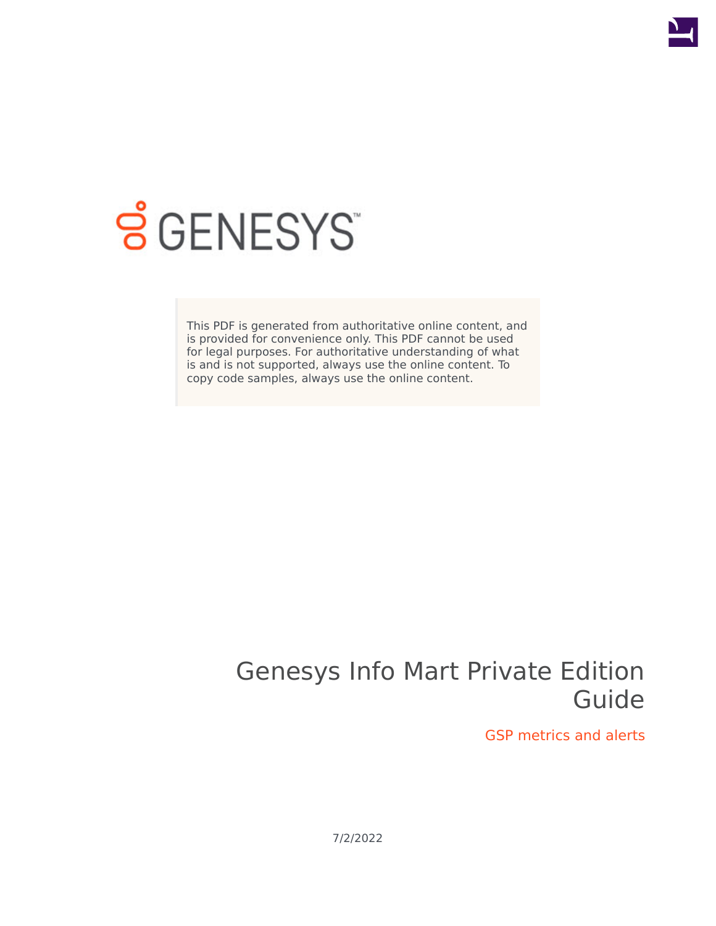

# **S** GENESYS

This PDF is generated from authoritative online content, and is provided for convenience only. This PDF cannot be used for legal purposes. For authoritative understanding of what is and is not supported, always use the online content. To copy code samples, always use the online content.

## Genesys Info Mart Private Edition Guide

GSP metrics and alerts

7/2/2022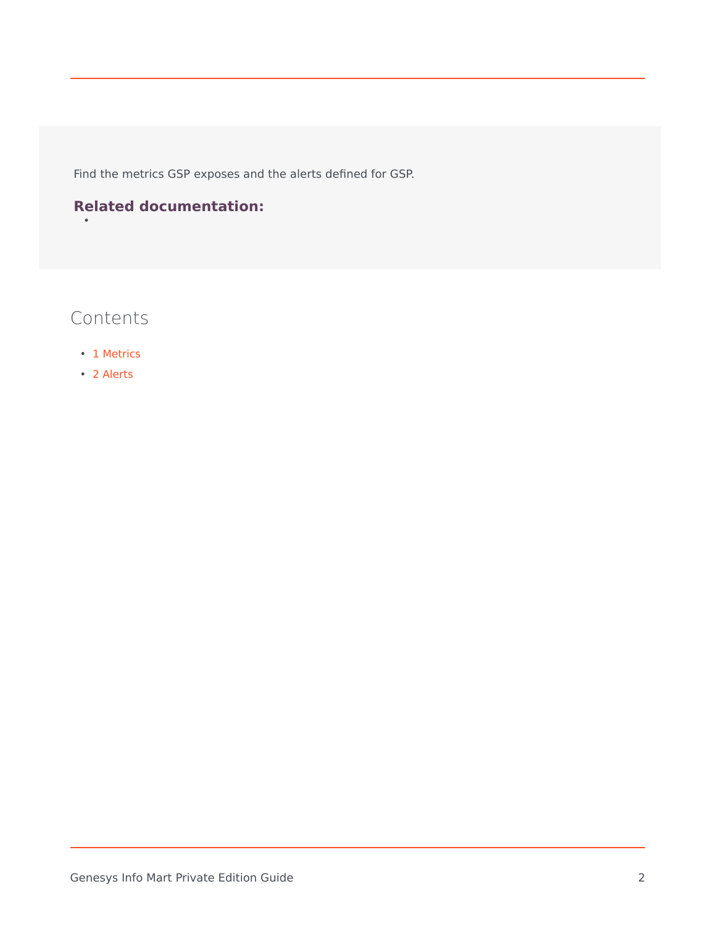Find the metrics GSP exposes and the alerts defined for GSP.

#### **Related documentation:**

#### Contents

•

- 1 [Metrics](#page-2-0)
- 2 [Alerts](#page-5-0)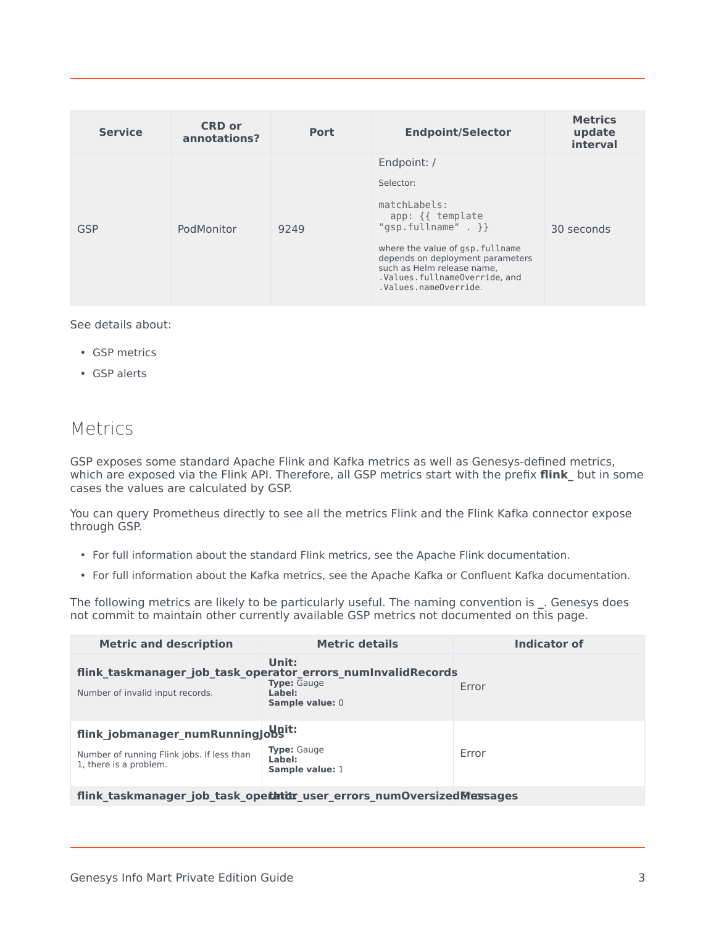| <b>Service</b> | <b>CRD or</b><br>annotations? | Port | <b>Endpoint/Selector</b>                                                                                                                                                                                                                              | <b>Metrics</b><br>update<br>interval |
|----------------|-------------------------------|------|-------------------------------------------------------------------------------------------------------------------------------------------------------------------------------------------------------------------------------------------------------|--------------------------------------|
| GSP            | PodMonitor                    | 9249 | Endpoint: /<br>Selector:<br>matchLabels:<br>app: {{ template<br>"gsp.fullname" $.$ } }<br>where the value of gsp. fullname<br>depends on deployment parameters<br>such as Helm release name.<br>.Values.fullnameOverride.and<br>.Values.nameOverride. | 30 seconds                           |

See details about:

- GSP metrics
- GSP alerts

#### <span id="page-2-0"></span>Metrics

GSP exposes some standard Apache Flink and Kafka metrics as well as Genesys-defined metrics, which are exposed via the Flink API. Therefore, all GSP metrics start with the prefix **flink\_** but in some cases the values are calculated by GSP.

You can query Prometheus directly to see all the metrics Flink and the Flink Kafka connector expose through GSP.

- For full information about the standard Flink metrics, see the Apache Flink documentation.
- For full information about the Kafka metrics, see the Apache Kafka or Confluent Kafka documentation.

The following metrics are likely to be particularly useful. The naming convention is **\_**. Genesys does not commit to maintain other currently available GSP metrics not documented on this page.

| <b>Metric and description</b>                                        | <b>Metric details</b>                                                                                                    | Indicator of |
|----------------------------------------------------------------------|--------------------------------------------------------------------------------------------------------------------------|--------------|
| Number of invalid input records.                                     | Unit:<br>flink taskmanager job task operator errors numInvalidRecords<br><b>Type:</b> Gauge<br>Label:<br>Sample value: 0 | Error        |
| flink_jobmanager_numRunninglobgit:                                   |                                                                                                                          |              |
| Number of running Flink jobs. If less than<br>1, there is a problem. | <b>Type: Gauge</b><br>Label:<br>Sample value: 1                                                                          | Error        |
|                                                                      | flink taskmanager job task opethtitr user errors numOversizedMessages                                                    |              |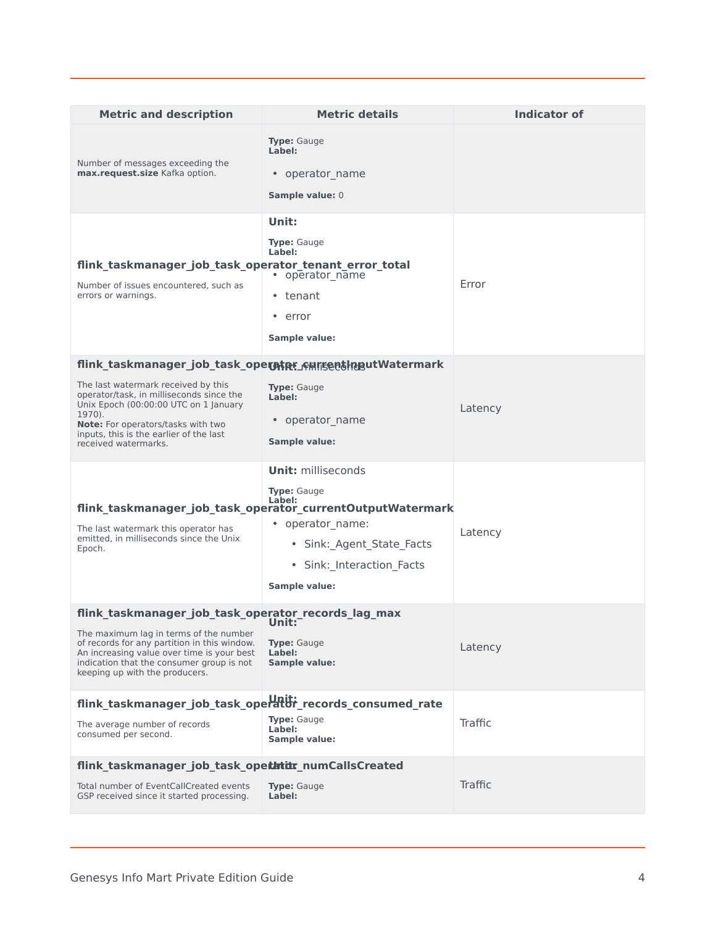| <b>Metric and description</b>                                                                                                                                                                                                                                                                            | <b>Metric details</b>                                                                                                                                                                                                  | <b>Indicator of</b> |
|----------------------------------------------------------------------------------------------------------------------------------------------------------------------------------------------------------------------------------------------------------------------------------------------------------|------------------------------------------------------------------------------------------------------------------------------------------------------------------------------------------------------------------------|---------------------|
| Number of messages exceeding the<br>max.request.size Kafka option.                                                                                                                                                                                                                                       | <b>Type:</b> Gauge<br>Label:<br>• operator name<br>Sample value: 0                                                                                                                                                     |                     |
| flink taskmanager job task operator tenant error total<br>Number of issues encountered, such as<br>errors or warnings.                                                                                                                                                                                   | Unit:<br><b>Type:</b> Gauge<br>Label:<br>• operator name<br>• tenant<br>• error<br><b>Sample value:</b>                                                                                                                | Error               |
| flink_taskmanager_job_task_operhtpr_cunsentlngutWatermark<br>The last watermark received by this<br>operator/task, in milliseconds since the<br>Unix Epoch (00:00:00 UTC on 1 January<br>1970).<br>Note: For operators/tasks with two<br>inputs, this is the earlier of the last<br>received watermarks. | <b>Type:</b> Gauge<br>Label:<br>• operator_name<br>Sample value:                                                                                                                                                       | Latency             |
| The last watermark this operator has<br>emitted, in milliseconds since the Unix<br>Epoch.                                                                                                                                                                                                                | <b>Unit: milliseconds</b><br><b>Type: Gauge</b><br>Label:<br>flink_taskmanager_job_task_operator_currentOutputWatermark<br>• operator_name:<br>• Sink: Agent State Facts<br>· Sink: Interaction Facts<br>Sample value: | Latency             |
| flink_taskmanager_job_task_operator_records_lag_max<br>The maximum lag in terms of the number<br>of records for any partition in this window.<br>An increasing value over time is your best<br>indication that the consumer group is not<br>keeping up with the producers.                               | Unit:<br><b>Type:</b> Gauge<br>Label:<br>Sample value:                                                                                                                                                                 | Latency             |
| flink_taskmanager_job_task_operator_records_consumed_rate<br>The average number of records<br>consumed per second.                                                                                                                                                                                       | <b>Type: Gauge</b><br>Label:<br><b>Sample value:</b>                                                                                                                                                                   | Traffic             |
| flink_taskmanager_job_task_opethtitr_numCallsCreated<br>Total number of EventCallCreated events<br>GSP received since it started processing.                                                                                                                                                             | <b>Type:</b> Gauge<br>Label:                                                                                                                                                                                           | Traffic             |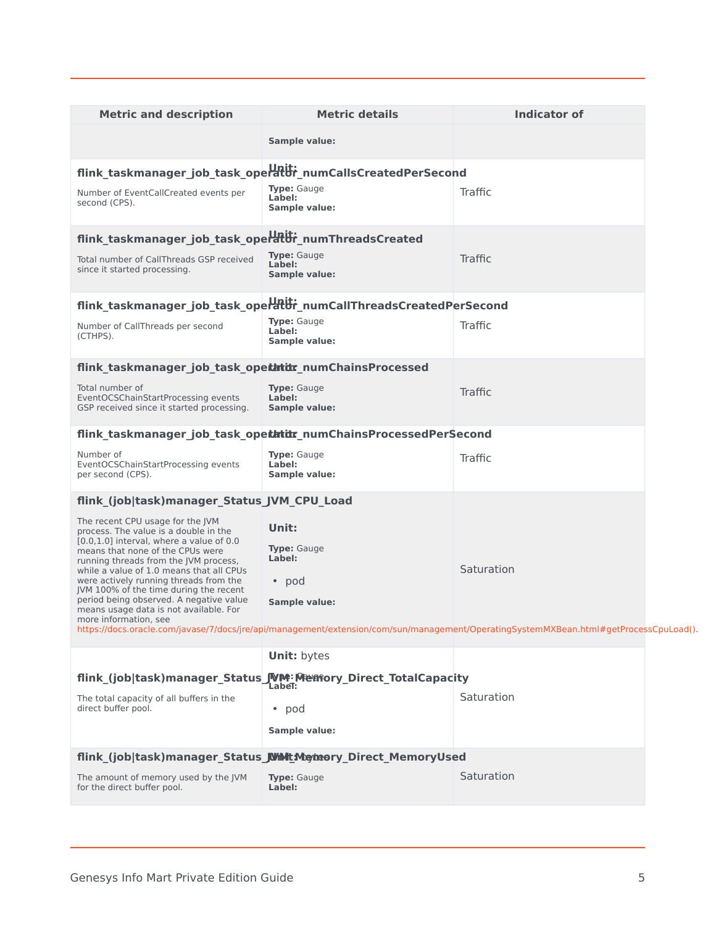| <b>Metric and description</b>                                                                                                                                                                                                                                                                                                                                                                                                                       | <b>Metric details</b>                                              | <b>Indicator of</b>                                                                                                                                 |
|-----------------------------------------------------------------------------------------------------------------------------------------------------------------------------------------------------------------------------------------------------------------------------------------------------------------------------------------------------------------------------------------------------------------------------------------------------|--------------------------------------------------------------------|-----------------------------------------------------------------------------------------------------------------------------------------------------|
|                                                                                                                                                                                                                                                                                                                                                                                                                                                     | <b>Sample value:</b>                                               |                                                                                                                                                     |
|                                                                                                                                                                                                                                                                                                                                                                                                                                                     | flink_taskmanager_job_task_operator_numCallsCreatedPerSecond       |                                                                                                                                                     |
| Number of EventCallCreated events per<br>second (CPS).                                                                                                                                                                                                                                                                                                                                                                                              | <b>Type:</b> Gauge<br>Label:<br>Sample value:                      | Traffic                                                                                                                                             |
| flink_taskmanager_job_task_operator_numThreadsCreated                                                                                                                                                                                                                                                                                                                                                                                               |                                                                    |                                                                                                                                                     |
| Total number of CallThreads GSP received<br>since it started processing.                                                                                                                                                                                                                                                                                                                                                                            | <b>Type:</b> Gauge<br>Label:<br>Sample value:                      | Traffic                                                                                                                                             |
|                                                                                                                                                                                                                                                                                                                                                                                                                                                     | flink_taskmanager_job_task_operator_numCallThreadsCreatedPerSecond |                                                                                                                                                     |
| Number of CallThreads per second<br>(CTHPS).                                                                                                                                                                                                                                                                                                                                                                                                        | <b>Type:</b> Gauge<br>Label:<br>Sample value:                      | Traffic                                                                                                                                             |
| flink_taskmanager_job_task_opethtidr_numChainsProcessed                                                                                                                                                                                                                                                                                                                                                                                             |                                                                    |                                                                                                                                                     |
| Total number of<br>EventOCSChainStartProcessing events<br>GSP received since it started processing.                                                                                                                                                                                                                                                                                                                                                 | <b>Type:</b> Gauge<br>Label:<br>Sample value:                      | Traffic                                                                                                                                             |
|                                                                                                                                                                                                                                                                                                                                                                                                                                                     | flink_taskmanager_job_task_opethtitr_numChainsProcessedPerSecond   |                                                                                                                                                     |
| Number of<br>EventOCSChainStartProcessing events<br>per second (CPS).                                                                                                                                                                                                                                                                                                                                                                               | <b>Type:</b> Gauge<br>Label:<br>Sample value:                      | Traffic                                                                                                                                             |
| flink_(job task)manager_Status_JVM_CPU_Load                                                                                                                                                                                                                                                                                                                                                                                                         |                                                                    |                                                                                                                                                     |
| The recent CPU usage for the JVM<br>process. The value is a double in the<br>$[0.0, 1.0]$ interval, where a value of 0.0<br>means that none of the CPUs were<br>running threads from the JVM process,<br>while a value of 1.0 means that all CPUs<br>were actively running threads from the<br>JVM 100% of the time during the recent<br>period being observed. A negative value<br>means usage data is not available. For<br>more information, see | Unit:<br><b>Type: Gauge</b><br>Label:<br>• pod<br>Sample value:    | Saturation<br>https://docs.oracle.com/javase/7/docs/jre/api/management/extension/com/sun/management/OperatingSystemMXBean.html#getProcessCpuLoad(). |
|                                                                                                                                                                                                                                                                                                                                                                                                                                                     | <b>Unit: bytes</b>                                                 |                                                                                                                                                     |
|                                                                                                                                                                                                                                                                                                                                                                                                                                                     | flink (job task)manager_Status JVM: Mentory_Direct_TotalCapacity   |                                                                                                                                                     |
| The total capacity of all buffers in the<br>direct buffer pool.                                                                                                                                                                                                                                                                                                                                                                                     | Label:<br>• pod<br>Sample value:                                   | Saturation                                                                                                                                          |
|                                                                                                                                                                                                                                                                                                                                                                                                                                                     | flink (job task)manager_Status JWMtMetheory_Direct_MemoryUsed      |                                                                                                                                                     |
| The amount of memory used by the JVM<br>for the direct buffer pool.                                                                                                                                                                                                                                                                                                                                                                                 | <b>Type: Gauge</b><br>Label:                                       | Saturation                                                                                                                                          |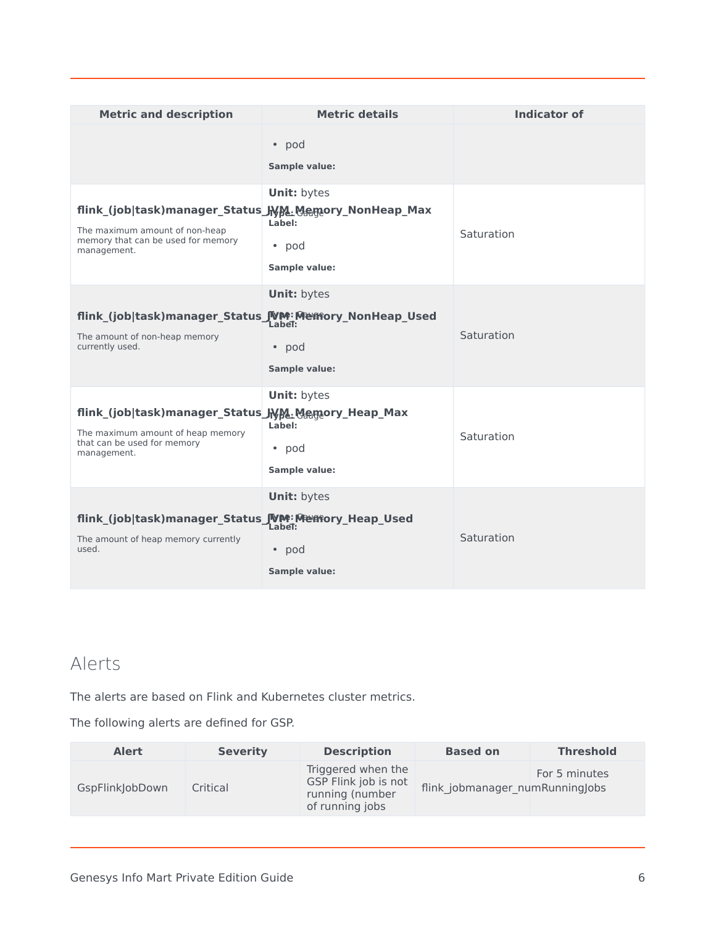| <b>Metric and description</b>                                                                                                                 | <b>Metric details</b>                                          | <b>Indicator of</b> |
|-----------------------------------------------------------------------------------------------------------------------------------------------|----------------------------------------------------------------|---------------------|
|                                                                                                                                               | • pod<br>Sample value:                                         |                     |
| flink_(job task)manager_Status_Jyy&.Memory_NonHeap_Max<br>The maximum amount of non-heap<br>memory that can be used for memory<br>management. | <b>Unit: bytes</b><br>Label:<br>$\bullet$ pod<br>Sample value: | Saturation          |
| flink (job task)manager Status JVM: Mentory NonHeap Used<br>The amount of non-heap memory<br>currently used.                                  | <b>Unit: bytes</b><br>Label:<br>• pod<br><b>Sample value:</b>  | Saturation          |
| flink_(job task)manager_Status_JNM. Memory_Heap_Max<br>The maximum amount of heap memory<br>that can be used for memory<br>management.        | <b>Unit: bytes</b><br>Label:<br>• pod<br>Sample value:         | Saturation          |
| flink (job task)manager Status JVM: Menfory Heap Used<br>The amount of heap memory currently<br>used.                                         | <b>Unit: bytes</b><br>Label:<br>• pod<br>Sample value:         | Saturation          |

### <span id="page-5-0"></span>Alerts

The alerts are based on Flink and Kubernetes cluster metrics.

The following alerts are defined for GSP.

| <b>Alert</b>    | <b>Severity</b> | <b>Description</b>                                                               | <b>Based on</b>                 | <b>Threshold</b> |
|-----------------|-----------------|----------------------------------------------------------------------------------|---------------------------------|------------------|
| GspFlinkJobDown | Critical        | Triggered when the<br>GSP Flink job is not<br>running (number<br>of running jobs | flink jobmanager numRunningJobs | For 5 minutes    |